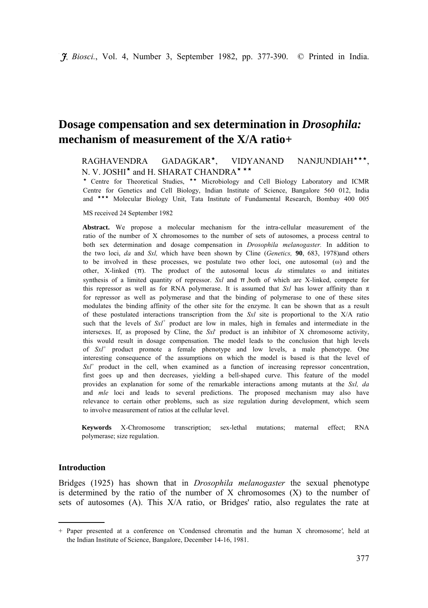# **Dosage compensation and sex determination in** *Drosophila:*  **mechanism of measurement of the X/A ratio+**

# RAGHAVENDRA GADAGKAR<sup>\*</sup>, VIDYANAND NANJUNDIAH<sup>\*\*\*</sup> N. V. JOSHI<sup>\*</sup> and H. SHARAT CHANDRA<sup>\*\*\*</sup>

\* Centre for Theoretical Studies, \*\* Microbiology and Cell Biology Laboratory and ICMR Centre for Genetics and Cell Biology, Indian Institute of Science, Bangalore 560 012, India and \*\*\* Molecular Biology Unit, Tata Institute of Fundamental Research, Bombay 400 005

MS received 24 September 1982

**Abstract.** We propose a molecular mechanism for the intra-cellular measurement of the ratio of the number of X chromosomes to the number of sets of autosomes, a process central to both sex determination and dosage compensation in *Drosophila melanogaster.* In addition to the two loci, *da* and *Sxl,* which have been shown by Cline (*Genetics,* **90**, 683, 1978)and others to be involved in these processes, we postulate two other loci, one autosomal (ω) and the other, X-linked (π). The product of the autosomal locus *da* stimulates ω and initiates synthesis of a limited quantity of repressor. *Sxl* and π ,both of which are X-linked, compete for this repressor as well as for RNA polymerase. It is assumed that *Sxl* has lower affinity than  $\pi$ for repressor as well as polymerase and that the binding of polymerase to one of these sites modulates the binding affinity of the other site for the enzyme. It can be shown that as a result of these postulated interactions transcription from the *Sxl* site is proportional to the X/A ratio such that the levels of  $SxI<sup>+</sup>$  product are low in males, high in females and intermediate in the intersexes. If, as proposed by Cline, the *Sxl-* product is an inhibitor of X chromosome activity, this would result in dosage compensation. The model leads to the conclusion that high levels of *Sxl<sup>+</sup>* product promote a female phenotype and low levels, a male phenotype. One interesting consequence of the assumptions on which the model is based is that the level of *Sxl<sup>+</sup>* product in the cell, when examined as a function of increasing repressor concentration, first goes up and then decreases, yielding a bell-shaped curve. This feature of the model provides an explanation for some of the remarkable interactions among mutants at the *Sxl, da*  and *mle* loci and leads to several predictions. The proposed mechanism may also have relevance to certain other problems, such as size regulation during development, which seem to involve measurement of ratios at the cellular level.

**Keywords** X-Chromosome transcription; sex-lethal mutations; maternal effect; RNA polymerase; size regulation.

# **Introduction**

Bridges (1925) has shown that in *Drosophila melanogaster* the sexual phenotype is determined by the ratio of the number of  $X$  chromosomes  $(X)$  to the number of sets of autosomes (A). This X/A ratio, or Bridges' ratio, also regulates the rate at

<sup>+</sup> Paper presented at a conference on 'Condensed chromatin and the human X chromosome*'*, held at the Indian Institute of Science, Bangalore, December 14-16, 1981.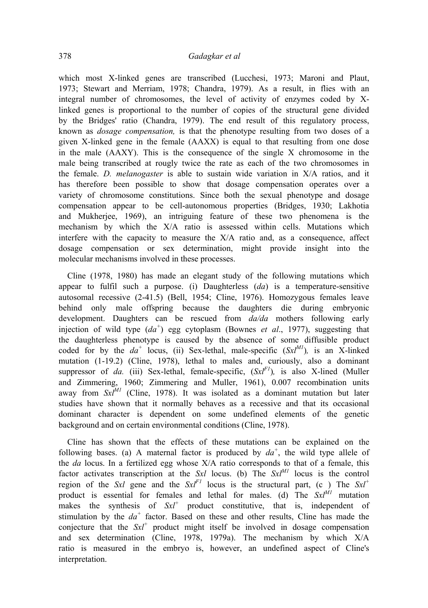which most X-linked genes are transcribed (Lucchesi, 1973; Maroni and Plaut, 1973; Stewart and Merriam, 1978; Chandra, 1979). As a result, in flies with an integral number of chromosomes, the level of activity of enzymes coded by Xlinked genes is proportional to the number of copies of the structural gene divided by the Bridges' ratio (Chandra, 1979). The end result of this regulatory process, known as *dosage compensation,* is that the phenotype resulting from two doses of a given X-linked gene in the female (AAXX) is equal to that resulting from one dose in the male (AAXY). This is the consequence of the single X chromosome in the male being transcribed at rougly twice the rate as each of the two chromosomes in the female. *D. melanogaster* is able to sustain wide variation in X/A ratios, and it has therefore been possible to show that dosage compensation operates over a variety of chromosome constitutions. Since both the sexual phenotype and dosage compensation appear to be cell-autonomous properties (Bridges, 1930; Lakhotia and Mukherjee, 1969), an intriguing feature of these two phenomena is the mechanism by which the X/A ratio is assessed within cells. Mutations which interfere with the capacity to measure the X/A ratio and, as a consequence, affect dosage compensation or sex determination, might provide insight into the molecular mechanisms involved in these processes.

Cline (1978, 1980) has made an elegant study of the following mutations which appear to fulfil such a purpose. (i) Daughterless (*da*) is a temperature-sensitive autosomal recessive (2-41.5) (Bell, 1954; Cline, 1976). Homozygous females leave behind only male offspring because the daughters die during embryonic development. Daughters can be rescued from *da/da* mothers following early injection of wild type  $(da^+)$  egg cytoplasm (Bownes *et al.*, 1977), suggesting that the daughterless phenotype is caused by the absence of some diffusible product coded for by the  $da^+$  locus, (ii) Sex-lethal, male-specific  $(Sx l^{M})$ , is an X-linked mutation (1-19.2) (Cline, 1978), lethal to males and, curiously, also a dominant suppressor of *da.* (iii) Sex-lethal, female-specific,  $(SxI^{F})$ , is also X-lined (Muller and Zimmering, 1960; Zimmering and Muller, 1961), 0.007 recombination units away from  $Sx^{M}$  (Cline, 1978). It was isolated as a dominant mutation but later studies have shown that it normally behaves as a recessive and that its occasional dominant character is dependent on some undefined elements of the genetic background and on certain environmental conditions (Cline, 1978).

Cline has shown that the effects of these mutations can be explained on the following bases. (a) A maternal factor is produced by  $da^+$ , the wild type allele of the *da* locus. In a fertilized egg whose X/A ratio corresponds to that of a female, this factor activates transcription at the  $Sxl$  locus. (b) The  $Sx<sup>M1</sup>$  locus is the control region of the *Sxl* gene and the  $SxI^{F1}$  locus is the structural part, (c) The  $SxI^{+}$ product is essential for females and lethal for males. (d) The  $Sx^{1M1}$  mutation makes the synthesis of  $Sx^1$  product constitutive, that is, independent of stimulation by the *da<sup>+</sup>* factor. Based on these and other results, Cline has made the conjecture that the  $Sx^{\dagger}$  product might itself be involved in dosage compensation and sex determination (Cline, 1978, 1979a). The mechanism by which X/A ratio is measured in the embryo is, however, an undefined aspect of Cline's interpretation.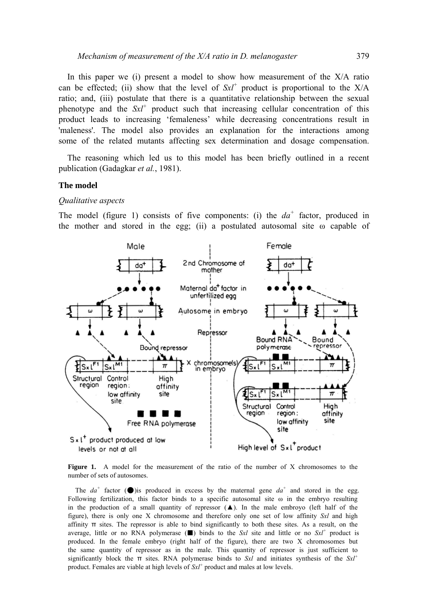In this paper we (i) present a model to show how measurement of the  $X/A$  ratio can be effected; (ii) show that the level of  $SxI^+$  product is proportional to the  $X/A$ ratio; and, (iii) postulate that there is a quantitative relationship between the sexual phenotype and the *Sxl+* product such that increasing cellular concentration of this product leads to increasing 'femaleness' while decreasing concentrations result in 'maleness'. The model also provides an explanation for the interactions among some of the related mutants affecting sex determination and dosage compensation.

The reasoning which led us to this model has been briefly outlined in a recent publication (Gadagkar *et al.*, 1981).

# **The model**

#### *Qualitative aspects*

The model (figure 1) consists of five components: (i) the *da<sup>+</sup>* factor, produced in the mother and stored in the egg; (ii) a postulated autosomal site ω capable of



**Figure 1.** A model for the measurement of the ratio of the number of X chromosomes to the number of sets of autosomes.

The  $da^+$  factor ( $\bullet$ ) is produced in excess by the maternal gene  $da^+$  and stored in the egg. Following fertilization, this factor binds to a specific autosomal site  $\omega$  in the embryo resulting in the production of a small quantity of repressor  $(\triangle)$ . In the male embroyo (left half of the figure), there is only one X chromosome and therefore only one set of low affinity *Sxl* and high affinity  $\pi$  sites. The repressor is able to bind significantly to both these sites. As a result, on the average, little or no RNA polymerase  $(\blacksquare)$  binds to the *Sxl* site and little or no *Sxl*<sup>+</sup> product is produced. In the female embryo (right half of the figure), there are two X chromosomes but the same quantity of repressor as in the male. This quantity of repressor is just sufficient to significantly block the π sites. RNA polymerase binds to *Sxl* and initiates synthesis of the *Sxl+* product. Females are viable at high levels of *Sxl+* product and males at low levels.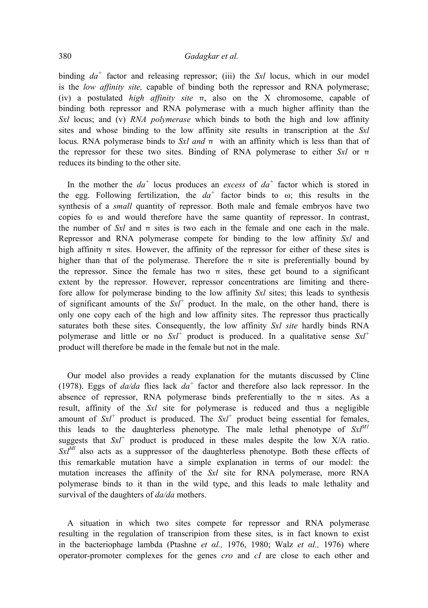# 380 *Gadagkar et al.*

binding  $da^+$  factor and releasing repressor; (iii) the *Sxl* locus, which in our model is the *low affinity site,* capable of binding both the repressor and RNA polymerase; (iv) a postulated *high affinity site* π, also on the X chromosome, capable of binding both repressor and RNA polymerase with a much higher affinity than the *Sxl* locus; and (v) *RNA polymerase* which binds to both the high and low affinity sites and whose binding to the low affinity site results in transcription at the *Sxl*  locus. RNA polymerase binds to *Sxl and* π with an affinity which is less than that of the repressor for these two sites. Binding of RNA polymerase to either *Sxl* or π reduces its binding to the other site.

In the mother the  $da^+$  locus produces an *excess* of  $da^+$  factor which is stored in the egg. Following fertilization, the  $da^+$  factor binds to  $\omega$ ; this results in the synthesis of a *small* quantity of repressor. Both male and female embryos have two copies fo ω and would therefore have the same quantity of repressor. In contrast, the number of  $Sx_l$  and  $\pi$  sites is two each in the female and one each in the male. Repressor and RNA polymerase compete for binding to the low affinity *Sxl* and high affinity  $\pi$  sites. However, the affinity of the repressor for either of these sites is higher than that of the polymerase. Therefore the  $\pi$  site is preferentially bound by the repressor. Since the female has two  $\pi$  sites, these get bound to a significant extent by the repressor. However, repressor concentrations are limiting and therefore allow for polymerase binding to the low affinity *Sxl* sites; this leads to synthesis of significant amounts of the *Sxl+* product. In the male, on the other hand, there is only one copy each of the high and low affinity sites. The repressor thus practically saturates both these sites. Consequently, the low affinity *Sxl site* hardly binds RNA polymerase and little or no  $SxI^+$  product is produced. In a qualitative sense  $SxI^+$ product will therefore be made in the female but not in the male.

Our model also provides a ready explanation for the mutants discussed by Cline (1978). Eggs of *da/da* flies lack *da<sup>+</sup>* factor and therefore also lack repressor. In the absence of repressor, RNA polymerase binds preferentially to the  $\pi$  sites. As a result, affinity of the *Sxl* site for polymerase is reduced and thus a negligible amount of  $Sx^1$  product is produced. The  $Sx^1$  product being essential for females, this leads to the daughterless phenotype. The male lethal phenotype of  $Sx^{M1}$ suggests that  $SxI^+$  product is produced in these males despite the low  $X/A$  ratio.  $Sx^{lM}$  also acts as a suppressor of the daughterless phenotype. Both these effects of this remarkable mutation have a simple explanation in terms of our model: the mutation increases the affinity of the *Sxl* site for RNA polymerase, more RNA polymerase binds to it than in the wild type, and this leads to male lethality and survival of the daughters of *da/da* mothers.

A situation in which two sites compete for repressor and RNA polymerase resulting in the regulation of transcripion from these sites, is in fact known to exist in the bacteriophage lambda (Ptashne *et αl.,* 1976, 1980; Walz *et αl.,* 1976) where operator-promoter complexes for the genes *cro* and *cI* are close to each other and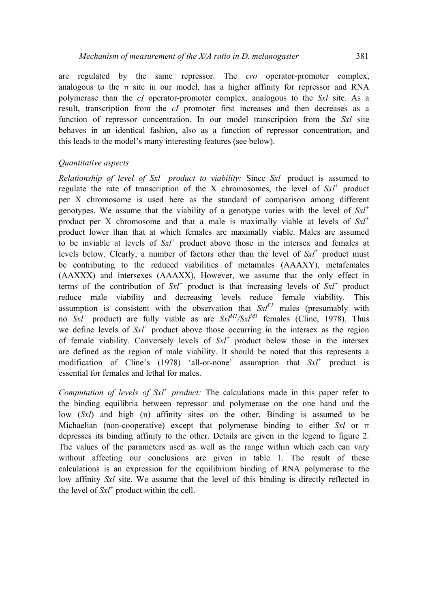are regulated by the same repressor. The *cro* operator-promoter complex, analogous to the  $\pi$  site in our model, has a higher affinity for repressor and RNA polymerase than the *cI* operator-promoter complex, analogous to the *Sxl* site. As a result, transcription from the *cI* promoter first increases and then decreases as a function of repressor concentration. In our model transcription from the *Sxl* site behaves in an identical fashion, also as a function of repressor concentration, and this leads to the model's many interesting features (see below).

# *Quantitative aspects*

*Relationship of level of Sxl+ product to viability:* Since *Sxl*+ product is assumed to regulate the rate of transcription of the X chromosomes, the level of  $S x l^+$  product per X chromosome is used here as the standard of comparison among different genotypes. We assume that the viability of a genotype varies with the level of *Sxl+* product per X chromosome and that a male is maximally viable at levels of *Sxl+*  product lower than that at which females are maximally viable. Males are assumed to be inviable at levels of *Sxl+* product above those in the intersex and females at levels below. Clearly, a number of factors other than the level of *Sxl+* product must be contributing to the reduced viabilities of metamales (AAAXY), metafemales (AAXXX) and intersexes (AAAXX). However, we assume that the only effect in terms of the contribution of  $Sx^1$  product is that increasing levels of  $Sx^1$  product reduce male viability and decreasing levels reduce female viability. This assumption is consistent with the observation that  $Sx^{F}$  males (presumably with no  $SxI^+$  product) are fully viable as are  $SxI^{MI}/SxI^{MI}$  females (Cline, 1978). Thus we define levels of  $Sx^1$  product above those occurring in the intersex as the region of female viability. Conversely levels of *Sxl+* product below those in the intersex are defined as the region of male viability. It should be noted that this represents a modification of Cline's (1978) 'all-or-none' assumption that *Sxl+* product is essential for females and lethal for males.

*Computation of levels of Sxl <sup>+</sup> product:* The calculations made in this paper refer to the binding equilibria between repressor and polymerase on the one hand and the low (*Sxl*) and high (π) affinity sites on the other. Binding is assumed to be Michaelian (non-cooperative) except that polymerase binding to either *Sxl* or π depresses its binding affinity to the other. Details are given in the legend to figure 2. The values of the parameters used as well as the range within which each can vary without affecting our conclusions are given in table 1. The result of these calculations is an expression for the equilibrium binding of RNA polymerase to the low affinity *Sxl* site. We assume that the level of this binding is directly reflected in the level of  $Sx^1$  product within the cell.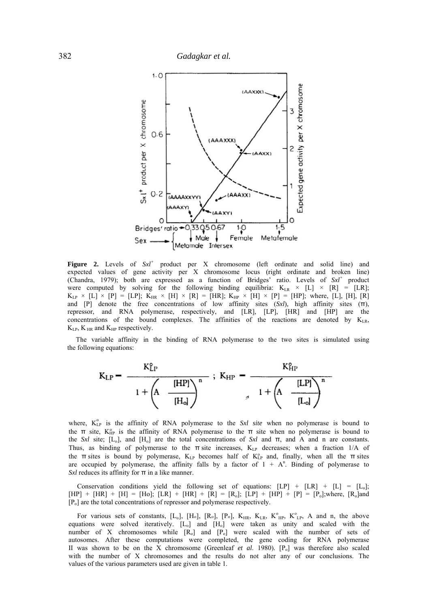

**Figure 2.** Levels of *Sxl+* product per X chromosome (left ordinate and solid line) and expected values of gene activity per X chromosome locus (right ordinate and broken line) (Chandra, 1979); both are expressed as a function of Bridges' ratio. Levels of *Sxl+* product were computed by solving for the following binding equilibria:  $K_{LR} \times [L] \times [R] = [LR]$ ;  $K_{LP}$   $\times$  [L]  $\times$  [P] = [LP];  $K_{HR}$   $\times$  [H]  $\times$  [R] = [HR];  $K_{HP}$   $\times$  [H]  $\times$  [P] = [HP]; where, [L], [H], [R] and [P] denote the free concentrations of low affinity sites (*Sxl*)*,* high affinity sites (π), repressor, and RNA polymerase, respectively, and [LR], [LP], [HR] and [HP] are the concentrations of the bound complexes. The affinities of the reactions are denoted by KLR,  $K_{LP}$ ,  $K_{HR}$  and  $K_{HP}$  respectively.

The variable affinity in the binding of RNA polymerase to the two sites is simulated using the following equations:

$$
K_{LP} = \frac{K_{LP}^{o}}{1 + \left(A - \frac{[HP]}{[H_o]}\right)^n} ; K_{HP} = \frac{K_{HP}^{o}}{1 + \left(A - \frac{[LP]}{[L_o]}\right)^n}
$$

where, K<sup>o</sup><sub>LP</sub> is the affinity of RNA polymerase to the Sxl site when no polymerase is bound to the  $\pi$  site, K<sub>HP</sub> is the affinity of RNA polymerase to the  $\pi$  site when no polymerase is bound to the *Sxl* site;  $[L_0]$ , and  $[H_0]$  are the total concentrations of *Sxl* and  $\pi$ , and A and n are constants. Thus, as binding of polymerase to the  $\pi$  site increases,  $K_{LP}$  decreases; when a fraction 1/A of the π sites is bound by polymerase,  $K_{LP}$  becomes half of  $K_{LP}^{\circ}$  and, finally, when all the π sites are occupied by polymerase, the affinity falls by a factor of  $1 + A<sup>n</sup>$ . Binding of polymerase to *Sxl* reduces its affinity for π in a like manner.

Conservation conditions yield the following set of equations:  $[LP] + [LR] + [L] = [L_0];$  $[HP] + [HR] + [H] = [Ho]; [LR] + [HR] + [R] = [R_0]; [LP] + [HP] + [P] = [P_0];$  where,  $[R_0]$  and [Po] are the total concentrations of repressor and polymerase respectively.

For various sets of constants,  $[L_0]$ ,  $[H_0]$ ,  $[R_0]$ ,  $[P_0]$ ,  $K_{HR}$ ,  $K_{LR}$ ,  $K_{HP}^{\circ}$ ,  $K_{LP}^{\circ}$ , A and n, the above equations were solved iteratively.  $[L_0]$  and  $[H_0]$  were taken as unity and scaled with the number of X chromosomes while [R<sub>o</sub>] and [P<sub>o</sub>] were scaled with the number of sets of autosomes. After these computations were completed, the gene coding for RNA polymerase II was shown to be on the X chromosome (Greenleaf *et al.* 1980).  $[P_0]$  was therefore also scaled with the number of X chromosomes and the results do not alter any of our conclusions. The values of the various parameters used are given in table 1.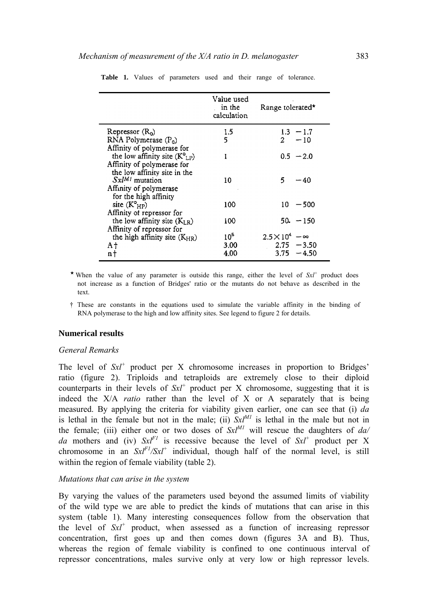|                                                     | Value used<br>in the<br>calculation | Range tolerated*               |
|-----------------------------------------------------|-------------------------------------|--------------------------------|
| Repressor (R <sub>0</sub> )                         | 1.5                                 | $1.3 - 1.7$                    |
| $RNA$ Polymerase $(P_0)$                            | 5                                   | $2^{\circ}$<br>$-10$           |
| Affinity of polymerase for                          |                                     |                                |
| the low affinity site $(K^{\circ}_{LP})$            | ı                                   | $0.5 - 2.0$                    |
| Affinity of polymerase for                          |                                     |                                |
| the low affinity site in the<br>$Sx^{IM1}$ mutation | 10                                  | 5.<br>-- 40                    |
| Affinity of polymerase                              |                                     |                                |
| for the high affinity                               |                                     |                                |
| site $(K^{\circ}_{HP})$                             | 100                                 | 10 -<br>$-500$                 |
| Affinity of repressor for                           |                                     |                                |
| the low affinity site $(K_{LR})$                    | 100                                 | $50. - 150$                    |
| Affinity of repressor for                           |                                     |                                |
| the high affinity site $(K_{HR})$                   | $10^5$                              | $2.5 \times 10^4$<br>$-\infty$ |
| Αt                                                  | 3.00                                | $2.75 - 3.50$                  |
| n t                                                 | 4.00                                | 3.75<br>$-4.50$                |

**Table 1.** Values of parameters used and their range of tolerance.

\* When the value of any parameter is outside this range, either the level of  $SxI^+$  product does not increase as a function of Bridges' ratio or the mutants do not behave as described in the text.

† These are constants in the equations used to simulate the variable affinity in the binding of RNA polymerase to the high and low affinity sites. See legend to figure 2 for details.

## **Numerical results**

## *General Remarks*

The level of *Sxl+* product per X chromosome increases in proportion to Bridges' ratio (figure 2). Triploids and tetraploids are extremely close to their diploid counterparts in their levels of  $Sxt^+$  product per X chromosome, suggesting that it is indeed the X/A *ratio* rather than the level of X or A separately that is being measured. By applying the criteria for viability given earlier, one can see that (i) *da*  is lethal in the female but not in the male; (ii)  $Sx^{1/M}$  is lethal in the male but not in the female; (iii) either one or two doses of  $Sx^{M1}$  will rescue the daughters of  $da/$ *da* mothers and (iv)  $SxI^{F1}$  is recessive because the level of  $SxI^{+}$  product per X chromosome in an  $SxI^{F1}/SxI^{+}$  individual, though half of the normal level, is still within the region of female viability (table 2).

#### *Mutations that can arise in the system*

By varying the values of the parameters used beyond the assumed limits of viability of the wild type we are able to predict the kinds of mutations that can arise in this system (table 1). Many interesting consequences follow from the observation that the level of  $SxI^+$  product, when assessed as a function of increasing repressor concentration, first goes up and then comes down (figures 3A and B). Thus, whereas the region of female viability is confined to one continuous interval of repressor concentrations, males survive only at very low or high repressor levels.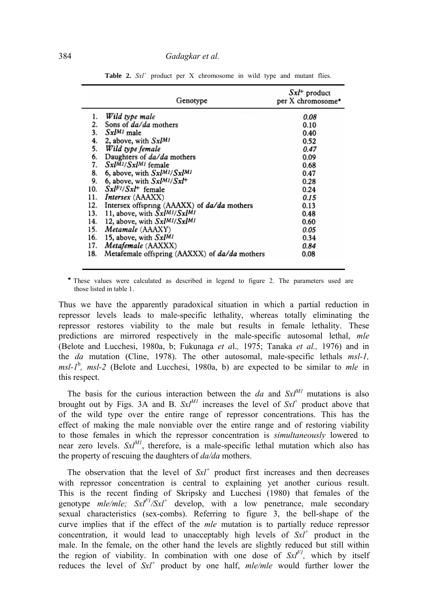| Genotype |                                                    | $SxI^+$ product<br>per X chromosome* |  |
|----------|----------------------------------------------------|--------------------------------------|--|
| ı.       | Wild type male                                     | 0.08                                 |  |
| 2.       | Sons of <i>da/da</i> mothers                       | 0.10                                 |  |
| 3.       | $Sx^{1M1}$ male                                    | 0.40                                 |  |
| 4.       | 2, above, with $Sx^{1M1}$                          | 0.52                                 |  |
| 5.       | Wild type female                                   | 0.47                                 |  |
| 6.       | Daughters of <i>da/da</i> mothers                  | 0.09                                 |  |
| 7.       | $Sx^{[M1]}Sx^{[M1]}$ female                        | 0.68                                 |  |
| 8.       | 6, above, with $Sx^{1M1}/Sx^{1M1}$                 | 0.47                                 |  |
| 9.       | 6, above, with $Sx^{1M1}/Sx^{1+}$                  | 0.28                                 |  |
| 10.      | $SxIF1/SxI+$ female                                | 0.24                                 |  |
| 11.      | <i>Intersex</i> (AAAXX)                            | 0.15                                 |  |
| 12.      | Intersex offspring (AAAXX) of <i>da/da</i> mothers | 0.13                                 |  |
| 13.      | 11, above, with $\bar{S}x l^{M1} / Sx l^{M1}$      | 0.48                                 |  |
| 14.      | 12, above, with SxlM1/SxlM1                        | 0.60                                 |  |
| 15.      | <i>Metamale</i> (AAAXY)                            | 0.05                                 |  |
| 16.      | 15, above, with SxlM1                              | 0.34                                 |  |
| 17.      | Metafemale (AAXXX)                                 | 0.84                                 |  |
| 18.      | Metafemale offspring (AAXXX) of da/da mothers      | 0.08                                 |  |
|          |                                                    |                                      |  |

Table 2.  $SxI^+$  product per X chromosome in wild type and mutant flies.

 $\star$  These values were calculated as described in legend to figure 2. The parameters used are those listed in table 1.

Thus we have the apparently paradoxical situation in which a partial reduction in repressor levels leads to male-specific lethality, whereas totally eliminating the repressor restores viability to the male but results in female lethality. These predictions are mirrored respectively in the male-specific autosomal lethal, *mle*  (Belote and Lucchesi, 1980a, b; Fukunaga *et a*l.*,* 1975; Tanaka *et al.,* 1976) and in the *da* mutation (Cline, 1978). The other autosomal, male-specific lethals *msl-1,*  msl-1<sup>b</sup>, msl-2 (Belote and Lucchesi, 1980a, b) are expected to be similar to *mle* in this respect.

The basis for the curious interaction between the  $da$  and  $Sx^{M1}$  mutations is also brought out by Figs. 3A and B.  $Sx l^M$  increases the level of  $Sx l^+$  product above that of the wild type over the entire range of repressor concentrations. This has the effect of making the male nonviable over the entire range and of restoring viability to those females in which the repressor concentration is *simultaneously* lowered to near zero levels.  $Sx^{M1}$ , therefore, is a male-specific lethal mutation which also has the property of rescuing the daughters of *da/da* mothers.

The observation that the level of  $Sx^+$  product first increases and then decreases with repressor concentration is central to explaining yet another curious result. This is the recent finding of Skripsky and Lucchesi (1980) that females of the genotype  $mle/mle$ ;  $Sxt^{F1}/Sxt^{+}$  develop, with a low penetrance, male secondary sexual characteristics (sex-combs). Referring to figure 3, the bell-shape of the curve implies that if the effect of the *mle* mutation is to partially reduce repressor concentration, it would lead to unacceptably high levels of *Sxl+* product in the male. In the female, on the other hand the levels are slightly reduced but still within the region of viability. In combination with one dose of  $SxI^{F}$ , which by itself reduces the level of *Sxl+* product by one half, *mle/mle* would further lower the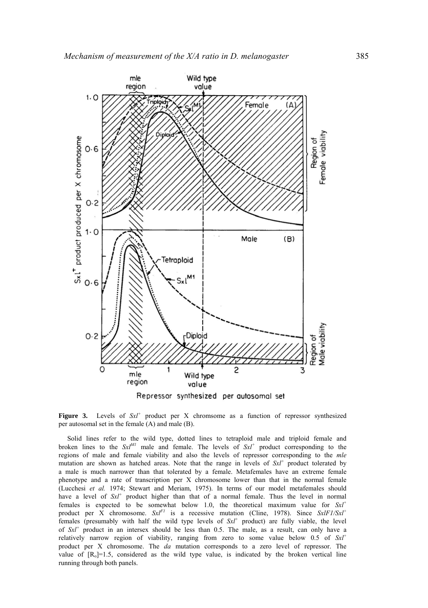

Repressor synthesized per autosomal set

**Figure 3.** Levels of  $Sx^1$  product per X chromsome as a function of repressor synthesized per autosomal set in the female (A) and male (B).

Solid lines refer to the wild type, dotted lines to tetraploid male and triploid female and broken lines to the  $SxI^{MI}$  male and female. The levels of  $SxI^{+}$  product corresponding to the regions of male and female viability and also the levels of repressor corresponding to the *mle*  mutation are shown as hatched areas. Note that the range in levels of *Sxl<sup>+</sup>* product tolerated by a male is much narrower than that tolerated by a female. Metafemales have an extreme female phenotype and a rate of transcription per X chromosome lower than that in the normal female (Lucchesi *et al.* 1974; Stewart and Meriam, 1975). In terms of our model metafemales should have a level of  $SxI^+$  product higher than that of a normal female. Thus the level in normal females is expected to be somewhat below 1.0, the theoretical maximum value for *Sxl+* product per X chromosome.  $SxI^{F1}$  is a recessive mutation (Cline, 1978). Since  $SxIF1/SxI^{+}$ females (presumably with half the wild type levels of *Sxl+* product) are fully viable, the level of *Sxl<sup>+</sup>* product in an intersex should be less than 0.5. The male, as a result, can only have a relatively narrow region of viability, ranging from zero to some value below 0.5 of *Sxl+*  product per X chromosome. The *da* mutation corresponds to a zero level of repressor. The value of  $[R_0]=1.5$ , considered as the wild type value, is indicated by the broken vertical line running through both panels.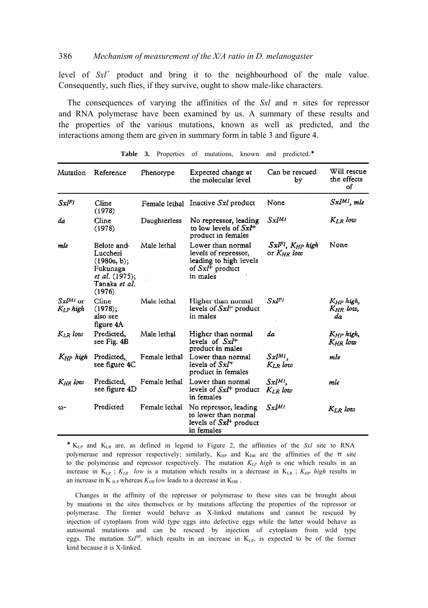# 386 *Mechanism of measurement of the X/A ratio in D. melanogaster*

level of *Sxl+* product and bring it to the neighbourhood of the male value. Consequently, such flies, if they survive, ought to show male-like characters.

The consequences of varying the affinities of the *Sxl* and π sites for repressor and RNA polymerase have been examined by us. A summary of these results and the properties of the various mutations, known as well as predicted, and the interactions among them are given in summary form in table 3 and figure 4.

| Mutation                      | Reference                                                                                      | Phenotype     | Expected change at<br>the molecular level                                                           | Can be rescued<br>by                                    | Will rescue<br>the effects<br>оf      |
|-------------------------------|------------------------------------------------------------------------------------------------|---------------|-----------------------------------------------------------------------------------------------------|---------------------------------------------------------|---------------------------------------|
| $Sxl^{Ft}$                    | Cline<br>(1978)                                                                                | Female lethal | Inactive <i>Sxl</i> product                                                                         | None                                                    | $Sx^{[M]}$ , mle                      |
| da                            | Cline<br>(1978)                                                                                | Daughterless  | No repressor, leading<br>to low levels of $SxF$<br>product in females                               | $Sx^{JM}$                                               | $K_{I,R}$ low                         |
| mle                           | Belote and<br>Lucchesi<br>(1980a, b);<br>Fukunaga<br>et al. (1975);<br>Tanaka et al.<br>(1976) | Male lethal   | Lower than normal<br>levels of repressor,<br>leading to high levels<br>of $SxF$ product<br>in males | $S$ xl <sup>F1</sup> . $K_{HP}$ high<br>or $K_{HR}$ low | None                                  |
| $St^{MI}$ or<br>$K_{LP}$ high | Cline<br>(1978):<br>also see<br>figure 4A                                                      | Male lethal   | Higher than normal<br>levels of $Sxl^+$ product<br>in males                                         | $Sxl^{F_1}$                                             | $K_{HP}$ high,<br>$K_{HR}$ low,<br>da |
| $K_{lR}$ low                  | Predicted.<br>see Fig. 4B                                                                      | Male lethal   | Higher than normal<br>levels of $SxI^+$<br>product in males                                         | da                                                      | $K_{HP}$ high,<br>$K_{HR}$ low        |
| $K_{HP}$ high                 | Predicted,<br>see figure 4C                                                                    | Female lethal | Lower than normal<br>levels of $SxI^+$<br>product in females                                        | $Sx^{[M]}$ ,<br>$K_{LR}$ low                            | mle                                   |
| K <sub>HR</sub> low           | Predicted.<br>see figure 4D                                                                    | Female lethal | Lower than normal<br>levels of $Sx^{\dagger}$ product<br>in females                                 | $S$ xl <sup>M1</sup> .<br>$K_{LR}$ low                  | mle                                   |
| ω-                            | Predicted                                                                                      | Female lethal | No repressor, leading<br>to lower than normal<br>levels of $SxF$ product<br>in females              | $Sxl^{M1}$                                              | $K_{LR}$ low                          |

Table 3. Properties of mutations, known and predicted.<sup>\*</sup>

´ KLP and KLR are, as defined in legend to Figure 2, the affinities of the *Sxl* site to RNA polymerase and repressor respectively; similarly, K<sub>HP</sub> and K<sub>HR</sub> are the affinities of the  $\pi$  site to the polymerase and repressor respectively. The mutation  $K_{LP}$  high is one which results in an increase in KLP ; *KLR low* is a mutation which results in a decrease in KLR ; *KHP high* results in an increase in K  $_{\text{HP}}$  whereas  $K_{\text{HR}}$  low leads to a decrease in K<sub>HR</sub>.

Changes in the affinity of the repressor or polymerase to these sites can be brought about by muations in the sites themselves or by mutations affecting the properties of the repressor or polymerase. The former would behave as X-linked mutations and cannot be rescued by injection of cytoplasm from wild type eggs into defective eggs while the latter would behave as autosomal mutations and can be rescued by injection of cytoplasm from wild type eggs. The mutation  $Sx^{M}$ , which results in an increase in  $K_{LP}$ , is expected to be of the former kind because it is X-linked.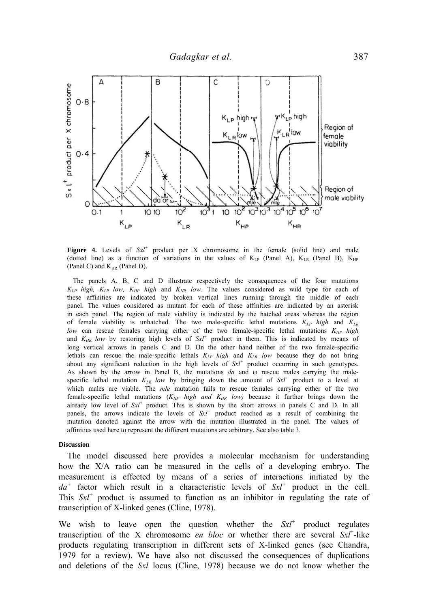

Figure 4. Levels of  $SxI^+$  product per X chromosome in the female (solid line) and male (dotted line) as a function of variations in the values of  $K_{LP}$  (Panel A),  $K_{LR}$  (Panel B),  $K_{HP}$ (Panel C) and  $K_{HR}$  (Panel D).

The panels A, B, C and D illustrate respectively the consequences of the four mutations *KLP high, KLR low, KHP high* and *KHR low.* The values considered as wild type for each of these affinities are indicated by broken vertical lines running through the middle of each panel. The values considered as mutant for each of these affinities are indicated by an asterisk in each panel. The region of male viability is indicated by the hatched areas whereas the region of female viability is unhatched. The two male-specific lethal mutations *KLP high* and *KLR low* can rescue females carrying either of the two female-specific lethal mutations  $K_{HP}$  high and  $K_{HR}$  low by restoring high levels of  $SxI^{+}$  product in them. This is indicated by means of long vertical arrows in panels C and D. On the other hand neither of the two female-specific lethals can rescue the male-specific lethals *KLP high* and *KLR low* because they do not bring about any significant reduction in the high levels of *Sxl+* product occurring in such genotypes. As shown by the arrow in Panel B, the mutations *da* and ω rescue males carrying the malespecific lethal mutation  $K_{LR}$  low by bringing down the amount of  $SxI^+$  product to a level at which males are viable. The *mle* mutation fails to rescue females carrying either of the two female-specific lethal mutations  $(K_{HP}$  high and  $K_{HR}$  low) because it further brings down the already low level of *Sxl+* product. This is shown by the short arrows in panels C and D. In all panels, the arrows indicate the levels of *Sxl<sup>+</sup>* product reached as a result of combining the mutation denoted against the arrow with the mutation illustrated in the panel. The values of affinities used here to represent the different mutations are arbitrary. See also table 3.

#### **Discussion**

The model discussed here provides a molecular mechanism for understanding how the X/A ratio can be measured in the cells of a developing embryo. The measurement is effected by means of a series of interactions initiated by the  $da<sup>+</sup>$  factor which result in a characteristic levels of  $SxI<sup>+</sup>$  product in the cell. This *Sxl+* product is assumed to function as an inhibitor in regulating the rate of transcription of X-linked genes (Cline, 1978).

We wish to leave open the question whether the  $Sxt^+$  product regulates transcription of the X chromosome *en bloc* or whether there are several  $S x t^+$ -like products regulating transcription in different sets of X-linked genes (see Chandra, 1979 for a review). We have also not discussed the consequences of duplications and deletions of the *Sxl* locus (Cline, 1978) because we do not know whether the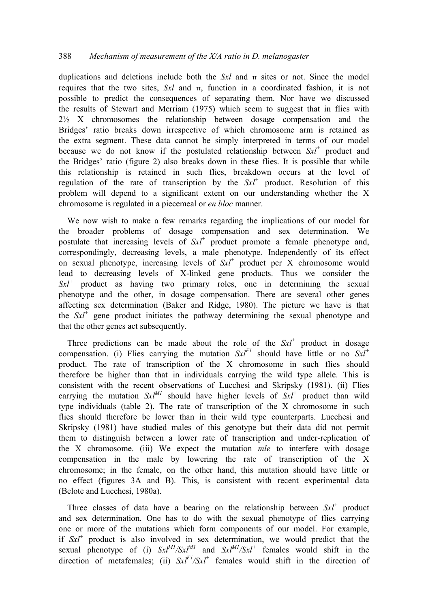# 388 *Mechanism of measurement of the X/A ratio in D. melanogaster*

duplications and deletions include both the  $Sx<sup>l</sup>$  and  $\pi$  sites or not. Since the model requires that the two sites, *Sxl* and π, function in a coordinated fashion, it is not possible to predict the consequences of separating them. Nor have we discussed the results of Stewart and Merriam (1975) which seem to suggest that in flies with  $2\frac{1}{2}$  X chromosomes the relationship between dosage compensation and the Bridges' ratio breaks down irrespective of which chromosome arm is retained as the extra segment. These data cannot be simply interpreted in terms of our model because we do not know if the postulated relationship between *Sxl+* product and the Bridges' ratio (figure 2) also breaks down in these flies. It is possible that while this relationship is retained in such flies, breakdown occurs at the level of regulation of the rate of transcription by the  $SxI^+$  product. Resolution of this problem will depend to a significant extent on our understanding whether the X chromosome is regulated in a piecemeal or *en bloc* manner.

We now wish to make a few remarks regarding the implications of our model for the broader problems of dosage compensation and sex determination. We postulate that increasing levels of *Sxl+* product promote a female phenotype and, correspondingly, decreasing levels, a male phenotype. Independently of its effect on sexual phenotype, increasing levels of *Sxl+* product per X chromosome would lead to decreasing levels of X-linked gene products. Thus we consider the *Sxl+* product as having two primary roles, one in determining the sexual phenotype and the other, in dosage compensation. There are several other genes affecting sex determination (Baker and Ridge, 1980). The picture we have is that the  $Sx^+$  gene product initiates the pathway determining the sexual phenotype and that the other genes act subsequently.

Three predictions can be made about the role of the *Sxl+* product in dosage compensation. (i) Flies carrying the mutation  $SxI^{F1}$  should have little or no  $SxI^{+}$ product. The rate of transcription of the X chromosome in such flies should therefore be higher than that in individuals carrying the wild type allele. This is consistent with the recent observations of Lucchesi and Skripsky (1981). (ii) Flies carrying the mutation  $Sx^{M1}$  should have higher levels of  $Sx^{1}$  product than wild type individuals (table 2). The rate of transcription of the X chromosome in such flies should therefore be lower than in their wild type counterparts. Lucchesi and Skripsky (1981) have studied males of this genotype but their data did not permit them to distinguish between a lower rate of transcription and under-replication of the X chromosome. (iii) We expect the mutation *mle* to interfere with dosage compensation in the male by lowering the rate of transcription of the X chromosome; in the female, on the other hand, this mutation should have little or no effect (figures 3A and B). This, is consistent with recent experimental data (Belote and Lucchesi, 1980a).

Three classes of data have a bearing on the relationship between  $S x l^+$  product and sex determination. One has to do with the sexual phenotype of flies carrying one or more of the mutations which form components of our model. For example, if *Sxl+* product is also involved in sex determination, we would predict that the sexual phenotype of (i)  $SxI^{MI}/SxI^{MI}$  and  $SxI^{MI}/SxI^{+}$  females would shift in the direction of metafemales; (ii)  $SxI^{F1}/SxI^{+}$  females would shift in the direction of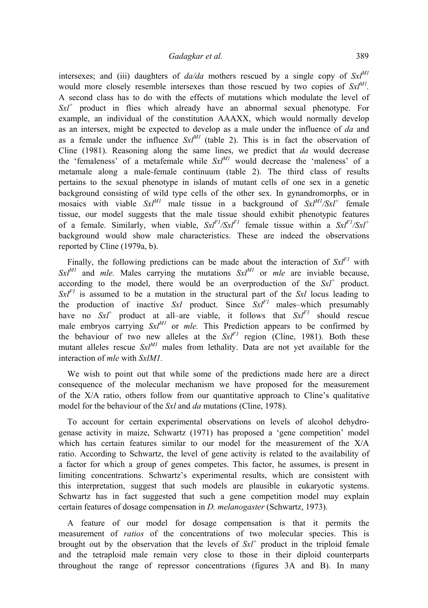# *Gadagkar et al.* 389

intersexes; and (iii) daughters of  $da/da$  mothers rescued by a single copy of  $Sx^{M1}$ would more closely resemble intersexes than those rescued by two copies of  $Sx^{M}$ . A second class has to do with the effects of mutations which modulate the level of *Sxl+* product in flies which already have an abnormal sexual phenotype. For example, an individual of the constitution AAAXX, which would normally develop as an intersex, might be expected to develop as a male under the influence of *da* and as a female under the influence  $Sx^{M1}$  (table 2). This is in fact the observation of Cline (1981). Reasoning along the same lines, we predict that *da* would decrease the 'femaleness' of a metafemale while  $Sx^{M1}$  would decrease the 'maleness' of a metamale along a male-female continuum (table 2). The third class of results pertains to the sexual phenotype in islands of mutant cells of one sex in a genetic background consisting of wild type cells of the other sex. In gynandromorphs, or in mosaics with viable  $Sx l^{M1}$  male tissue in a background of  $Sx l^{M1}/Sx l^{+}$  female tissue, our model suggests that the male tissue should exhibit phenotypic features of a female. Similarly, when viable,  $SxI^{F1}/SxI^{F1}$  female tissue within a  $SxI^{F1}/SxI^{+}$ background would show male characteristics. These are indeed the observations reported by Cline (1979a, b).

Finally, the following predictions can be made about the interaction of  $SxI<sup>F1</sup>$  with  $Sx^{M1}$  and *mle.* Males carrying the mutations  $Sx^{M1}$  or *mle* are inviable because, according to the model, there would be an overproduction of the  $SxI^+$  product.  $SxI<sup>F1</sup>$  is assumed to be a mutation in the structural part of the *Sxl* locus leading to the production of inactive *Sxl* product. Since *SxlF1* males–which presumably have no  $SxI^+$  product at all–are viable, it follows that  $SxI^{FI}$  should rescue male embryos carrying  $Sx^{M}$  or *mle*. This Prediction appears to be confirmed by the behaviour of two new alleles at the  $Sx^{F1}$  region (Cline, 1981). Both these mutant alleles rescue  $Sx^{M1}$  males from lethality. Data are not yet available for the interaction of *mle* with *SxlM1.* 

We wish to point out that while some of the predictions made here are a direct consequence of the molecular mechanism we have proposed for the measurement of the X/A ratio, others follow from our quantitative approach to Cline's qualitative model for the behaviour of the *Sxl* and *da* mutations (Cline, 1978).

To account for certain experimental observations on levels of alcohol dehydrogenase activity in maize, Schwartz (1971) has proposed a 'gene competition' model which has certain features similar to our model for the measurement of the X/A ratio. According to Schwartz, the level of gene activity is related to the availability of a factor for which a group of genes competes. This factor, he assumes, is present in limiting concentrations. Schwartz's experimental results, which are consistent with this interpretation, suggest that such models are plausible in eukaryotic systems. Schwartz has in fact suggested that such a gene competition model may explain certain features of dosage compensation in *D. melanogaster* (Schwartz, 1973).

A feature of our model for dosage compensation is that it permits the measurement of *ratios* of the concentrations of two molecular species. This is brought out by the observation that the levels of *Sxl+* product in the triploid female and the tetraploid male remain very close to those in their diploid counterparts throughout the range of repressor concentrations (figures 3A and B). In many